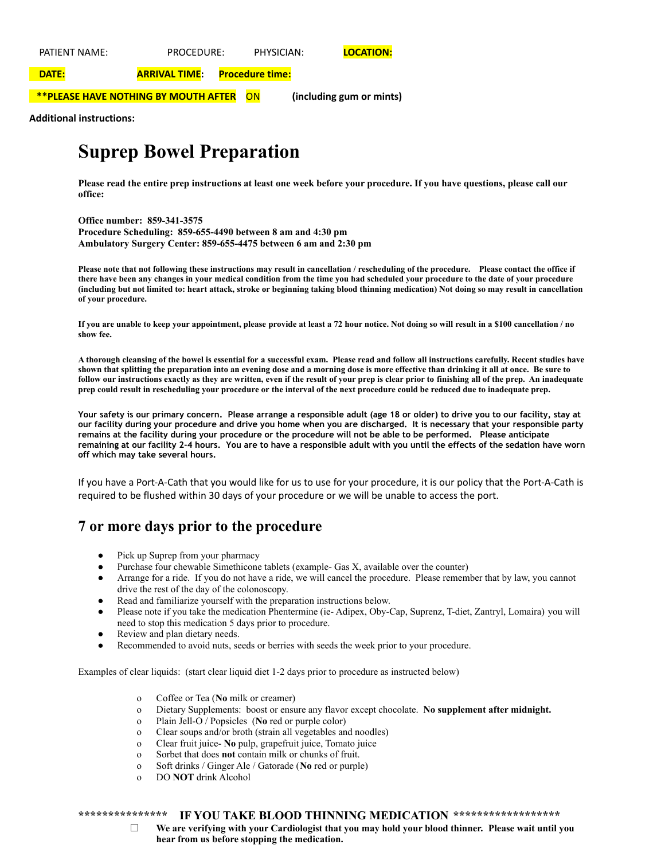PATIENT NAME: PROCEDURE: PHYSICIAN: **LOCATION:**

**DATE: ARRIVAL TIME: Procedure time:**

**\*\*PLEASE HAVE NOTHING BY MOUTH AFTER** ON **(including gum or mints)**

**Additional instructions:**

## **Suprep Bowel Preparation**

**Please read the entire prep instructions at least one week before your procedure. If you have questions, please call our office:**

**Office number: 859-341-3575 Procedure Scheduling: 859-655-4490 between 8 am and 4:30 pm Ambulatory Surgery Center: 859-655-4475 between 6 am and 2:30 pm**

Please note that not following these instructions may result in cancellation / rescheduling of the procedure. Please contact the office if there have been any changes in your medical condition from the time you had scheduled your procedure to the date of your procedure (including but not limited to: heart attack, stroke or beginning taking blood thinning medication) Not doing so may result in cancellation **of your procedure.**

If you are unable to keep your appointment, please provide at least a 72 hour notice. Not doing so will result in a \$100 cancellation / no **show fee.**

A thorough cleansing of the bowel is essential for a successful exam. Please read and follow all instructions carefully. Recent studies have shown that splitting the preparation into an evening dose and a morning dose is more effective than drinking it all at once. Be sure to follow our instructions exactly as they are written, even if the result of your prep is clear prior to finishing all of the prep. An inadequate prep could result in rescheduling your procedure or the interval of the next procedure could be reduced due to inadequate prep.

Your safety is our primary concern. Please arrange a responsible adult (age 18 or older) to drive you to our facility, stay at our facility during your procedure and drive you home when you are discharged. It is necessary that your responsible party remains at the facility during your procedure or the procedure will not be able to be performed. Please anticipate remaining at our facility 2-4 hours. You are to have a responsible adult with you until the effects of the sedation have worn **off which may take several hours.**

If you have a Port-A-Cath that you would like for us to use for your procedure, it is our policy that the Port-A-Cath is required to be flushed within 30 days of your procedure or we will be unable to access the port.

### **7 or more days prior to the procedure**

- Pick up Suprep from your pharmacy
- Purchase four chewable Simethicone tablets (example- Gas X, available over the counter)
- Arrange for a ride. If you do not have a ride, we will cancel the procedure. Please remember that by law, you cannot drive the rest of the day of the colonoscopy.
- Read and familiarize yourself with the preparation instructions below.
- Please note if you take the medication Phentermine (ie- Adipex, Oby-Cap, Suprenz, T-diet, Zantryl, Lomaira) you will need to stop this medication 5 days prior to procedure.
- Review and plan dietary needs.
- Recommended to avoid nuts, seeds or berries with seeds the week prior to your procedure.

Examples of clear liquids: (start clear liquid diet 1-2 days prior to procedure as instructed below)

- o Coffee or Tea (**No** milk or creamer)
- o Dietary Supplements: boost or ensure any flavor except chocolate. **No supplement after midnight.**
- o Plain Jell-O / Popsicles (**No** red or purple color)
- o Clear soups and/or broth (strain all vegetables and noodles)
- o Clear fruit juice- **No** pulp, grapefruit juice, Tomato juice
- o Sorbet that does **not** contain milk or chunks of fruit.
- o Soft drinks / Ginger Ale / Gatorade (**No** red or purple)
- o DO **NOT** drink Alcohol

#### **\*\*\*\*\*\*\*\*\*\*\*\*\*\*\* IF YOU TAKE BLOOD THINNING MEDICATION \*\*\*\*\*\*\*\*\*\*\*\*\*\*\*\*\*\***

☐ **We are verifying with your Cardiologist that you may hold your blood thinner. Please wait until you hear from us before stopping the medication.**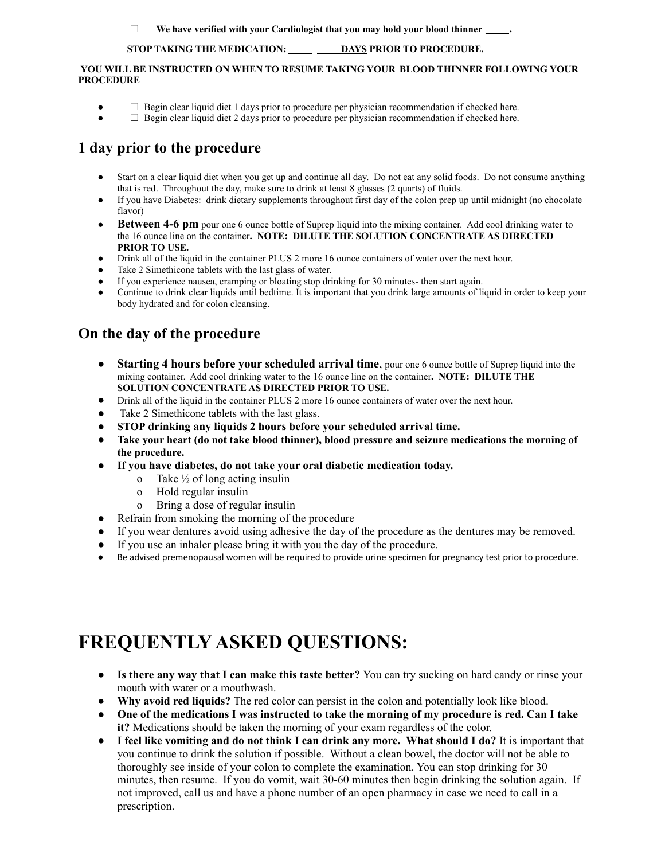☐ **We have verified with your Cardiologist that you may hold your blood thinner .**

#### **STOP TAKING THE MEDICATION: DAYS PRIOR TO PROCEDURE.**

#### **YOU WILL BE INSTRUCTED ON WHEN TO RESUME TAKING YOUR BLOOD THINNER FOLLOWING YOUR PROCEDURE**

- $\Box$  Begin clear liquid diet 1 days prior to procedure per physician recommendation if checked here.
- $\Box$  Begin clear liquid diet 2 days prior to procedure per physician recommendation if checked here.

## **1 day prior to the procedure**

- Start on a clear liquid diet when you get up and continue all day. Do not eat any solid foods. Do not consume anything that is red. Throughout the day, make sure to drink at least 8 glasses (2 quarts) of fluids.
- If you have Diabetes: drink dietary supplements throughout first day of the colon prep up until midnight (no chocolate flavor)
- **● Between 4-6 pm** pour one 6 ounce bottle of Suprep liquid into the mixing container. Add cool drinking water to the 16 ounce line on the container**. NOTE: DILUTE THE SOLUTION CONCENTRATE AS DIRECTED PRIOR TO USE.**
- Drink all of the liquid in the container PLUS 2 more 16 ounce containers of water over the next hour.
- Take 2 Simethicone tablets with the last glass of water.
- If you experience nausea, cramping or bloating stop drinking for 30 minutes- then start again.
- Continue to drink clear liquids until bedtime. It is important that you drink large amounts of liquid in order to keep your body hydrated and for colon cleansing.

## **On the day of the procedure**

- **Starting 4 hours before your scheduled arrival time**, pour one 6 ounce bottle of Suprep liquid into the mixing container. Add cool drinking water to the 16 ounce line on the container**. NOTE: DILUTE THE SOLUTION CONCENTRATE AS DIRECTED PRIOR TO USE.**
- Drink all of the liquid in the container PLUS 2 more 16 ounce containers of water over the next hour.
- Take 2 Simethicone tablets with the last glass.
- **● STOP drinking any liquids 2 hours before your scheduled arrival time.**
- **● Take your heart (do not take blood thinner), blood pressure and seizure medications the morning of the procedure.**
- **● If you have diabetes, do not take your oral diabetic medication today.**
	- o Take  $\frac{1}{2}$  of long acting insulin
	- o Hold regular insulin
	- o Bring a dose of regular insulin
- Refrain from smoking the morning of the procedure
- If you wear dentures avoid using adhesive the day of the procedure as the dentures may be removed.
- If you use an inhaler please bring it with you the day of the procedure.
- Be advised premenopausal women will be required to provide urine specimen for pregnancy test prior to procedure.

# **FREQUENTLY ASKED QUESTIONS:**

- **Is there any way that I can make this taste better?** You can try sucking on hard candy or rinse your mouth with water or a mouthwash.
- **Why avoid red liquids?** The red color can persist in the colon and potentially look like blood.
- **One of the medications I was instructed to take the morning of my procedure is red. Can I take it?** Medications should be taken the morning of your exam regardless of the color.
- **I feel like vomiting and do not think I can drink any more. What should I do?** It is important that you continue to drink the solution if possible. Without a clean bowel, the doctor will not be able to thoroughly see inside of your colon to complete the examination. You can stop drinking for 30 minutes, then resume. If you do vomit, wait 30-60 minutes then begin drinking the solution again. If not improved, call us and have a phone number of an open pharmacy in case we need to call in a prescription.